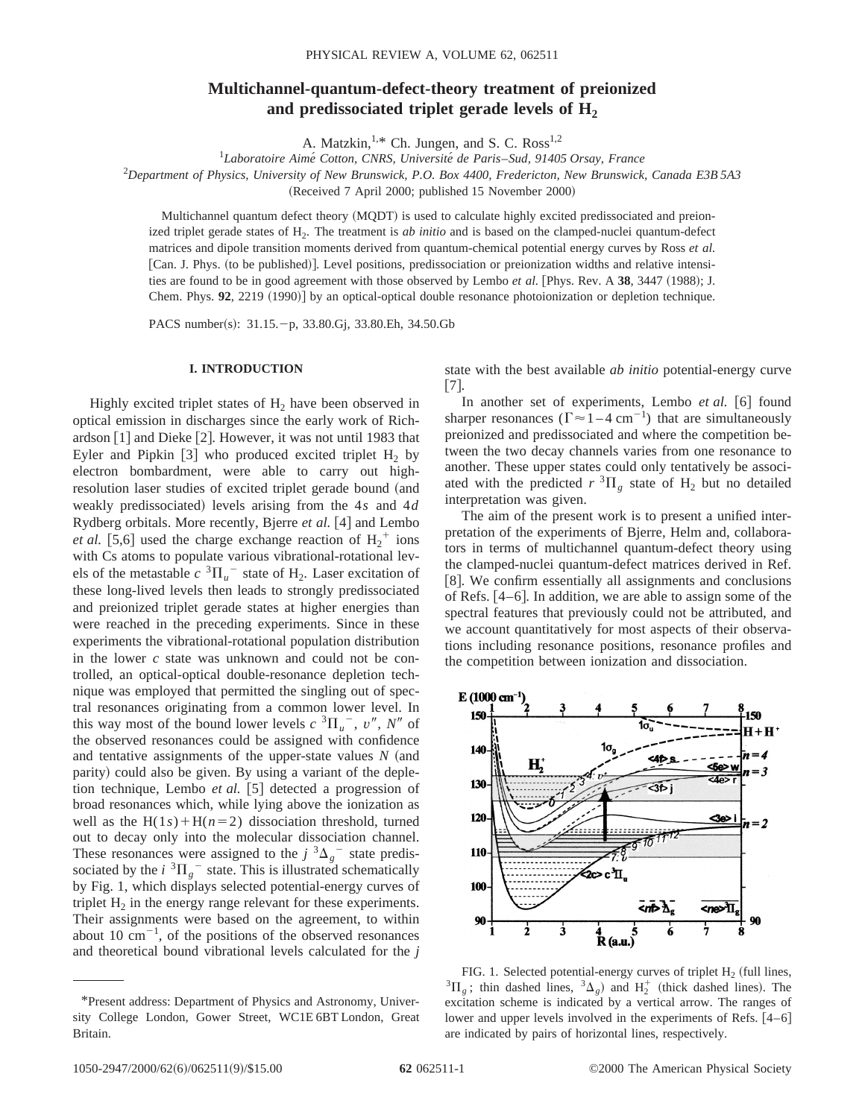# **Multichannel-quantum-defect-theory treatment of preionized** and predissociated triplet gerade levels of H<sub>2</sub>

A. Matzkin,<sup>1,\*</sup> Ch. Jungen, and S. C. Ross<sup>1,2</sup>

1 *Laboratoire Aime´ Cotton, CNRS, Universite´ de Paris*–*Sud, 91405 Orsay, France*

2 *Department of Physics, University of New Brunswick, P.O. Box 4400, Fredericton, New Brunswick, Canada E3B 5A3*

(Received 7 April 2000; published 15 November 2000)

Multichannel quantum defect theory (MQDT) is used to calculate highly excited predissociated and preionized triplet gerade states of H<sub>2</sub>. The treatment is *ab initio* and is based on the clamped-nuclei quantum-defect matrices and dipole transition moments derived from quantum-chemical potential energy curves by Ross *et al.* [Can. J. Phys. (to be published)]. Level positions, predissociation or preionization widths and relative intensities are found to be in good agreement with those observed by Lembo *et al.* [Phys. Rev. A 38, 3447 (1988); J. Chem. Phys. **92**, 2219 (1990)] by an optical-optical double resonance photoionization or depletion technique.

PACS number(s): 31.15. - p, 33.80.Gj, 33.80.Eh, 34.50.Gb

#### **I. INTRODUCTION**

Highly excited triplet states of  $H_2$  have been observed in optical emission in discharges since the early work of Richardson  $[1]$  and Dieke  $[2]$ . However, it was not until 1983 that Eyler and Pipkin [3] who produced excited triplet  $H_2$  by electron bombardment, were able to carry out highresolution laser studies of excited triplet gerade bound (and weakly predissociated) levels arising from the 4s and 4d Rydberg orbitals. More recently, Bjerre *et al.* [4] and Lembo *et al.* [5,6] used the charge exchange reaction of  $H_2^+$  ions with Cs atoms to populate various vibrational-rotational levels of the metastable  $c \nvert^3 \Pi_u^-$  state of  $H_2$ . Laser excitation of these long-lived levels then leads to strongly predissociated and preionized triplet gerade states at higher energies than were reached in the preceding experiments. Since in these experiments the vibrational-rotational population distribution in the lower *c* state was unknown and could not be controlled, an optical-optical double-resonance depletion technique was employed that permitted the singling out of spectral resonances originating from a common lower level. In this way most of the bound lower levels  $c \nvert^3 \Pi_u^-$ ,  $v''$ ,  $N''$  of the observed resonances could be assigned with confidence and tentative assignments of the upper-state values  $N$  (and parity) could also be given. By using a variant of the depletion technique, Lembo *et al.* [5] detected a progression of broad resonances which, while lying above the ionization as well as the  $H(1s) + H(n=2)$  dissociation threshold, turned out to decay only into the molecular dissociation channel. These resonances were assigned to the  $j^3\Delta_g$ <sup>-</sup> state predissociated by the  $i \, {}^{3} \Pi_{g}^{-}$  state. This is illustrated schematically by Fig. 1, which displays selected potential-energy curves of triplet  $H_2$  in the energy range relevant for these experiments. Their assignments were based on the agreement, to within about 10  $\text{cm}^{-1}$ , of the positions of the observed resonances and theoretical bound vibrational levels calculated for the *j* state with the best available *ab initio* potential-energy curve  $\lfloor 7 \rfloor$ .

In another set of experiments, Lembo et al. [6] found sharper resonances  $(\Gamma \approx 1 - 4 \text{ cm}^{-1})$  that are simultaneously preionized and predissociated and where the competition between the two decay channels varies from one resonance to another. These upper states could only tentatively be associated with the predicted  $r \, {}^3\Pi_e$  state of  $H_2$  but no detailed interpretation was given.

The aim of the present work is to present a unified interpretation of the experiments of Bjerre, Helm and, collaborators in terms of multichannel quantum-defect theory using the clamped-nuclei quantum-defect matrices derived in Ref. [8]. We confirm essentially all assignments and conclusions of Refs.  $[4-6]$ . In addition, we are able to assign some of the spectral features that previously could not be attributed, and we account quantitatively for most aspects of their observations including resonance positions, resonance profiles and the competition between ionization and dissociation.



FIG. 1. Selected potential-energy curves of triplet H<sub>2</sub> (full lines,  ${}^{3}$  $\Pi_g$ ; thin dashed lines,  ${}^{3}$  $\Delta_g$ ) and H<sub>2</sub><sup>+</sup> (thick dashed lines). The excitation scheme is indicated by a vertical arrow. The ranges of lower and upper levels involved in the experiments of Refs.  $[4-6]$ are indicated by pairs of horizontal lines, respectively.

<sup>\*</sup>Present address: Department of Physics and Astronomy, University College London, Gower Street, WC1E 6BT London, Great Britain.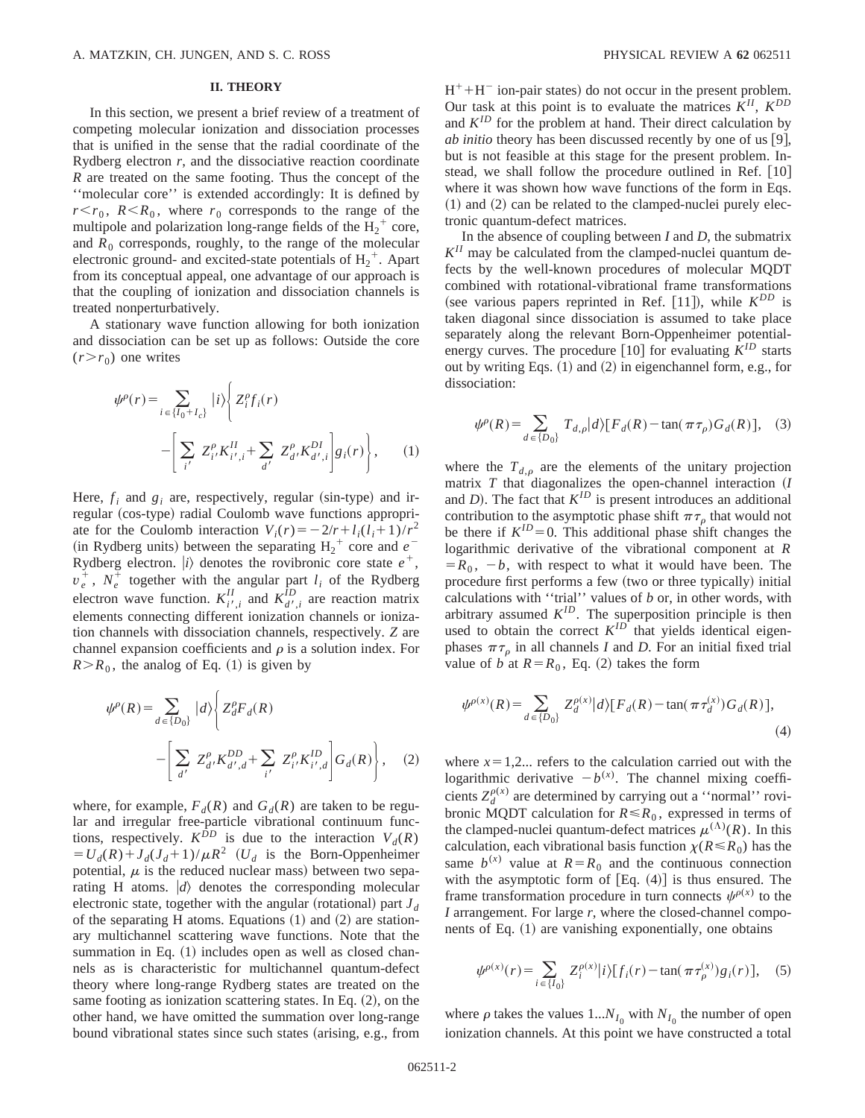## **II. THEORY**

In this section, we present a brief review of a treatment of competing molecular ionization and dissociation processes that is unified in the sense that the radial coordinate of the Rydberg electron *r*, and the dissociative reaction coordinate *R* are treated on the same footing. Thus the concept of the ''molecular core'' is extended accordingly: It is defined by  $r < r_0$ ,  $R < R_0$ , where  $r_0$  corresponds to the range of the multipole and polarization long-range fields of the  $H_2^+$  core, and  $R_0$  corresponds, roughly, to the range of the molecular electronic ground- and excited-state potentials of  $H_2^+$ . Apart from its conceptual appeal, one advantage of our approach is that the coupling of ionization and dissociation channels is treated nonperturbatively.

A stationary wave function allowing for both ionization and dissociation can be set up as follows: Outside the core  $(r>r_0)$  one writes

$$
\psi^{\rho}(r) = \sum_{i \in \{I_0 + I_c\}} |i\rangle \left\{ Z_i^{\rho} f_i(r) - \left[ \sum_{i'} Z_{i'}^{\rho} K_{i',i}^{II} + \sum_{d'} Z_{d'}^{\rho} K_{d',i}^{DI} \right] g_i(r) \right\},
$$
 (1)

Here,  $f_i$  and  $g_i$  are, respectively, regular (sin-type) and irregular (cos-type) radial Coulomb wave functions appropriate for the Coulomb interaction  $V_i(r) = -2/r + l_i(l_i+1)/r^2$  $(in Rydberg units)$  between the separating  $H_2^+$  core and  $e^-$ Rydberg electron.  $|i\rangle$  denotes the rovibronic core state  $e^+,$  $v_e^+$ ,  $N_e^+$  together with the angular part  $l_i$  of the Rydberg electron wave function.  $K_{i',i}^{II}$  and  $K_{d',i}^{ID}$  are reaction matrix elements connecting different ionization channels or ionization channels with dissociation channels, respectively. *Z* are channel expansion coefficients and  $\rho$  is a solution index. For  $R > R_0$ , the analog of Eq. (1) is given by

$$
\psi^{\rho}(R) = \sum_{d \in \{D_0\}} |d\rangle \left\{ Z_d^{\rho} F_d(R) - \left[ \sum_{d'} Z_{d'}^{\rho} K_{d',d}^{DD} + \sum_{i'} Z_{i'}^{\rho} K_{i',d}^{ID} \right] G_d(R) \right\}, \quad (2)
$$

where, for example,  $F_d(R)$  and  $G_d(R)$  are taken to be regular and irregular free-particle vibrational continuum functions, respectively.  $K^{\hat{D}D}$  is due to the interaction  $V_d(R)$  $= U_d(R) + J_d(J_d + 1)/\mu R^2$  (*U<sub>d</sub>* is the Born-Oppenheimer potential,  $\mu$  is the reduced nuclear mass) between two separating H atoms.  $|d\rangle$  denotes the corresponding molecular electronic state, together with the angular (rotational) part  $J_d$ of the separating H atoms. Equations  $(1)$  and  $(2)$  are stationary multichannel scattering wave functions. Note that the summation in Eq.  $(1)$  includes open as well as closed channels as is characteristic for multichannel quantum-defect theory where long-range Rydberg states are treated on the same footing as ionization scattering states. In Eq.  $(2)$ , on the other hand, we have omitted the summation over long-range bound vibrational states since such states (arising, e.g., from  $H^+ + H^-$  ion-pair states) do not occur in the present problem. Our task at this point is to evaluate the matrices  $K^{II}$ ,  $K^{DD}$ and  $K^{ID}$  for the problem at hand. Their direct calculation by *ab initio* theory has been discussed recently by one of us [9], but is not feasible at this stage for the present problem. Instead, we shall follow the procedure outlined in Ref.  $[10]$ where it was shown how wave functions of the form in Eqs.  $(1)$  and  $(2)$  can be related to the clamped-nuclei purely electronic quantum-defect matrices.

In the absence of coupling between *I* and *D*, the submatrix  $K<sup>II</sup>$  may be calculated from the clamped-nuclei quantum defects by the well-known procedures of molecular MQDT combined with rotational-vibrational frame transformations (see various papers reprinted in Ref. [11]), while  $K^{DD}$  is taken diagonal since dissociation is assumed to take place separately along the relevant Born-Oppenheimer potentialenergy curves. The procedure  $\lceil 10 \rceil$  for evaluating  $K^{ID}$  starts out by writing Eqs.  $(1)$  and  $(2)$  in eigenchannel form, e.g., for dissociation:

$$
\psi^{\rho}(R) = \sum_{d \in \{D_0\}} T_{d,\rho} |d\rangle [F_d(R) - \tan(\pi \tau_{\rho}) G_d(R)], \quad (3)
$$

where the  $T_{d,p}$  are the elements of the unitary projection matrix  $T$  that diagonalizes the open-channel interaction  $(I)$ and  $D$ ). The fact that  $K^{ID}$  is present introduces an additional contribution to the asymptotic phase shift  $\pi \tau_0$  that would not be there if  $K^{ID}=0$ . This additional phase shift changes the logarithmic derivative of the vibrational component at *R*  $=R_0$ ,  $-b$ , with respect to what it would have been. The procedure first performs a few (two or three typically) initial calculations with ''trial'' values of *b* or, in other words, with arbitrary assumed  $K^{ID}$ . The superposition principle is then used to obtain the correct  $K^{ID}$  that yields identical eigenphases  $\pi \tau_{\rho}$  in all channels *I* and *D*. For an initial fixed trial value of *b* at  $R = R_0$ , Eq. (2) takes the form

$$
\psi^{\rho(x)}(R) = \sum_{d \in \{D_0\}} Z_d^{\rho(x)} |d\rangle [F_d(R) - \tan(\pi \tau_d^{(x)}) G_d(R)],
$$
\n(4)

where  $x=1,2...$  refers to the calculation carried out with the logarithmic derivative  $-b^{(x)}$ . The channel mixing coefficients  $Z_d^{\rho(x)}$  are determined by carrying out a "normal" rovibronic MQDT calculation for  $R \le R_0$ , expressed in terms of the clamped-nuclei quantum-defect matrices  $\mu^{(\Lambda)}(R)$ . In this calculation, each vibrational basis function  $\chi(R \le R_0)$  has the same  $b^{(x)}$  value at  $R = R_0$  and the continuous connection with the asymptotic form of  $[Eq. (4)]$  is thus ensured. The frame transformation procedure in turn connects  $\psi^{\rho(x)}$  to the *I* arrangement. For large *r*, where the closed-channel components of Eq.  $(1)$  are vanishing exponentially, one obtains

$$
\psi^{\rho(x)}(r) = \sum_{i \in \{I_0\}} Z_i^{\rho(x)} |i\rangle [f_i(r) - \tan(\pi \tau_\rho^{(x)}) g_i(r)], \quad (5)
$$

where  $\rho$  takes the values 1... $N_{I_0}$  with  $N_{I_0}$  the number of open ionization channels. At this point we have constructed a total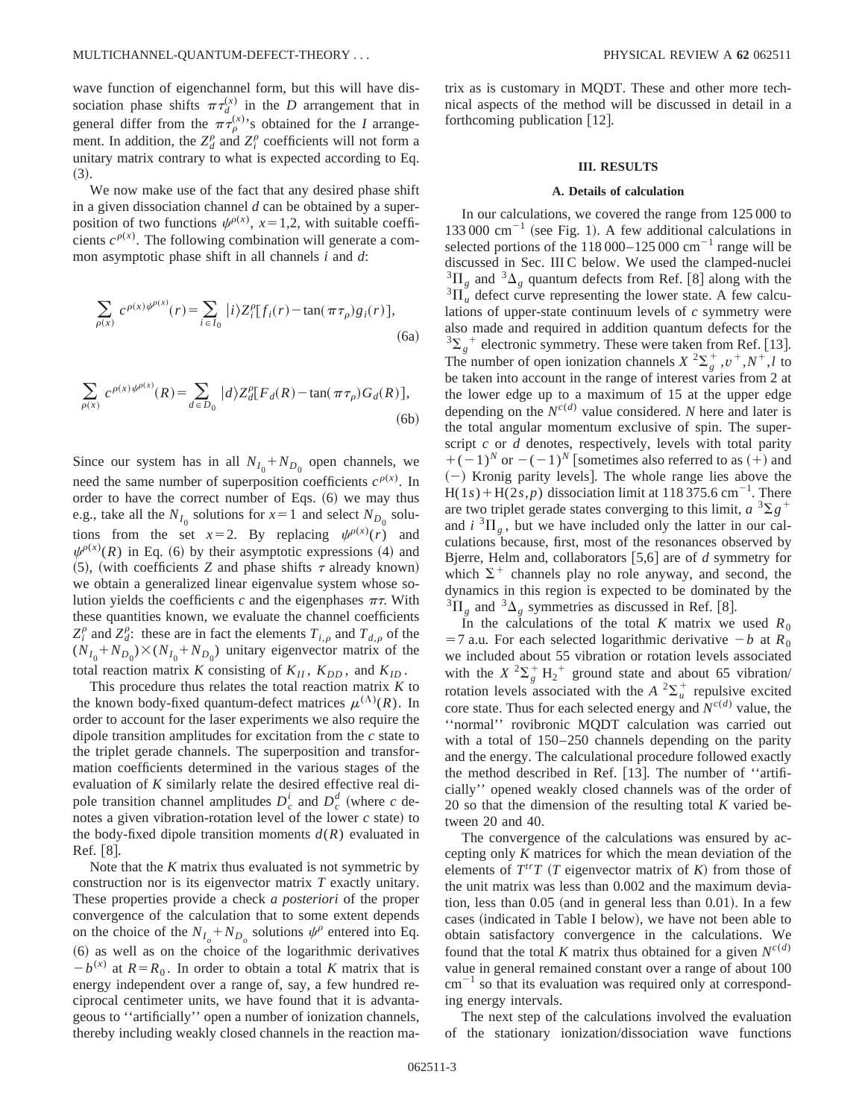wave function of eigenchannel form, but this will have dissociation phase shifts  $\pi \tau_{d}^{(x)}$  in the *D* arrangement that in general differ from the  $\pi \tau_{\rho}^{(x)}$ 's obtained for the *I* arrangement. In addition, the  $Z_d^{\rho}$  and  $Z_i^{\rho}$  coefficients will not form a unitary matrix contrary to what is expected according to Eq.  $(3).$ 

We now make use of the fact that any desired phase shift in a given dissociation channel *d* can be obtained by a superposition of two functions  $\psi^{\rho(x)}$ ,  $x=1,2$ , with suitable coefficients  $c^{\rho(x)}$ . The following combination will generate a common asymptotic phase shift in all channels *i* and *d*:

$$
\sum_{\rho(x)} c^{\rho(x)\psi^{\rho(x)}}(r) = \sum_{i \in I_0} |i\rangle Z_i^{\rho} [f_i(r) - \tan(\pi \tau_{\rho}) g_i(r)],
$$
\n(6a)

$$
\sum_{\rho(x)} c^{\rho(x)\psi^{\rho(x)}}(R) = \sum_{d \in D_0} |d\rangle Z_d^{\rho}[F_d(R) - \tan(\pi \tau_\rho) G_d(R)],
$$
\n(6b)

Since our system has in all  $N_{I_0} + N_{D_0}$  open channels, we need the same number of superposition coefficients  $c^{\rho(x)}$ . In order to have the correct number of Eqs.  $(6)$  we may thus e.g., take all the  $N_{I_0}$  solutions for  $x=1$  and select  $N_{D_0}$  solutions from the set  $x=2$ . By replacing  $\psi^{p(x)}(r)$  and  $\psi^{\rho(x)}(R)$  in Eq. (6) by their asymptotic expressions (4) and  $(5)$ , (with coefficients *Z* and phase shifts  $\tau$  already known) we obtain a generalized linear eigenvalue system whose solution yields the coefficients *c* and the eigenphases  $\pi\tau$ . With these quantities known, we evaluate the channel coefficients  $Z_i^{\rho}$  and  $Z_d^{\rho}$ : these are in fact the elements  $T_{i,\rho}$  and  $T_{d,\rho}$  of the  $(N_{I_0} + N_{D_0}) \times (N_{I_0} + N_{D_0})$  unitary eigenvector matrix of the total reaction matrix *K* consisting of  $K_{II}$ ,  $K_{DD}$ , and  $K_{ID}$ .

This procedure thus relates the total reaction matrix *K* to the known body-fixed quantum-defect matrices  $\mu^{(\Lambda)}(R)$ . In order to account for the laser experiments we also require the dipole transition amplitudes for excitation from the *c* state to the triplet gerade channels. The superposition and transformation coefficients determined in the various stages of the evaluation of *K* similarly relate the desired effective real dipole transition channel amplitudes  $D_c^i$  and  $D_c^d$  (where *c* denotes a given vibration-rotation level of the lower  $c$  state) to the body-fixed dipole transition moments  $d(R)$  evaluated in Ref.  $[8]$ .

Note that the *K* matrix thus evaluated is not symmetric by construction nor is its eigenvector matrix *T* exactly unitary. These properties provide a check *a posteriori* of the proper convergence of the calculation that to some extent depends on the choice of the  $N_{I_o} + N_{D_o}$  solutions  $\psi^{\rho}$  entered into Eq. ~6! as well as on the choice of the logarithmic derivatives  $-b^{(x)}$  at  $R=R_0$ . In order to obtain a total *K* matrix that is energy independent over a range of, say, a few hundred reciprocal centimeter units, we have found that it is advantageous to ''artificially'' open a number of ionization channels, thereby including weakly closed channels in the reaction matrix as is customary in MQDT. These and other more technical aspects of the method will be discussed in detail in a forthcoming publication  $[12]$ .

#### **III. RESULTS**

### **A. Details of calculation**

In our calculations, we covered the range from 125 000 to 133 000  $\text{cm}^{-1}$  (see Fig. 1). A few additional calculations in selected portions of the  $118\,000-125\,000\,$  cm<sup>-1</sup> range will be discussed in Sec. III C below. We used the clamped-nuclei  ${}^{3}\Pi_{g}$  and  ${}^{3}\Delta_{g}$  quantum defects from Ref. [8] along with the  ${}^{3}\Pi_{u}$  defect curve representing the lower state. A few calculations of upper-state continuum levels of *c* symmetry were also made and required in addition quantum defects for the  $3\Sigma_g^+$  electronic symmetry. These were taken from Ref. [13]. The number of open ionization channels  $X^2 \Sigma_g^+, v^+, N^+, l$  to be taken into account in the range of interest varies from 2 at the lower edge up to a maximum of 15 at the upper edge depending on the  $N^{c(d)}$  value considered. *N* here and later is the total angular momentum exclusive of spin. The superscript *c* or *d* denotes, respectively, levels with total parity  $+(-1)^N$  or  $-(-1)^N$  [sometimes also referred to as  $(+)$  and  $(-)$  Kronig parity levels. The whole range lies above the  $H(1s) + H(2s, p)$  dissociation limit at 118 375.6 cm<sup>-1</sup>. There are two triplet gerade states converging to this limit,  $a^{3}\Sigma g^{+}$ and  $i \, {}^{3} \Pi_{\varrho}$ , but we have included only the latter in our calculations because, first, most of the resonances observed by Bjerre, Helm and, collaborators  $[5,6]$  are of *d* symmetry for which  $\Sigma^+$  channels play no role anyway, and second, the dynamics in this region is expected to be dominated by the  ${}^{3}\Pi_{\varrho}$  and  ${}^{3}\Delta_{\varrho}$  symmetries as discussed in Ref. [8].

In the calculations of the total *K* matrix we used  $R_0$  $=$  7 a.u. For each selected logarithmic derivative  $-b$  at  $R_0$ we included about 55 vibration or rotation levels associated with the  $X^2\Sigma_g^+ \vDash A_2^+$  ground state and about 65 vibration/ rotation levels associated with the  $A^2\Sigma_u^+$  repulsive excited core state. Thus for each selected energy and  $N^{c(d)}$  value, the ''normal'' rovibronic MQDT calculation was carried out with a total of  $150-250$  channels depending on the parity and the energy. The calculational procedure followed exactly the method described in Ref.  $[13]$ . The number of "artificially'' opened weakly closed channels was of the order of 20 so that the dimension of the resulting total *K* varied between 20 and 40.

The convergence of the calculations was ensured by accepting only *K* matrices for which the mean deviation of the elements of  $T^{tr}T$  (*T* eigenvector matrix of *K*) from those of the unit matrix was less than 0.002 and the maximum deviation, less than  $0.05$  (and in general less than  $0.01$ ). In a few cases (indicated in Table I below), we have not been able to obtain satisfactory convergence in the calculations. We found that the total *K* matrix thus obtained for a given  $N^{c(d)}$ value in general remained constant over a range of about 100  $cm^{-1}$  so that its evaluation was required only at corresponding energy intervals.

The next step of the calculations involved the evaluation of the stationary ionization/dissociation wave functions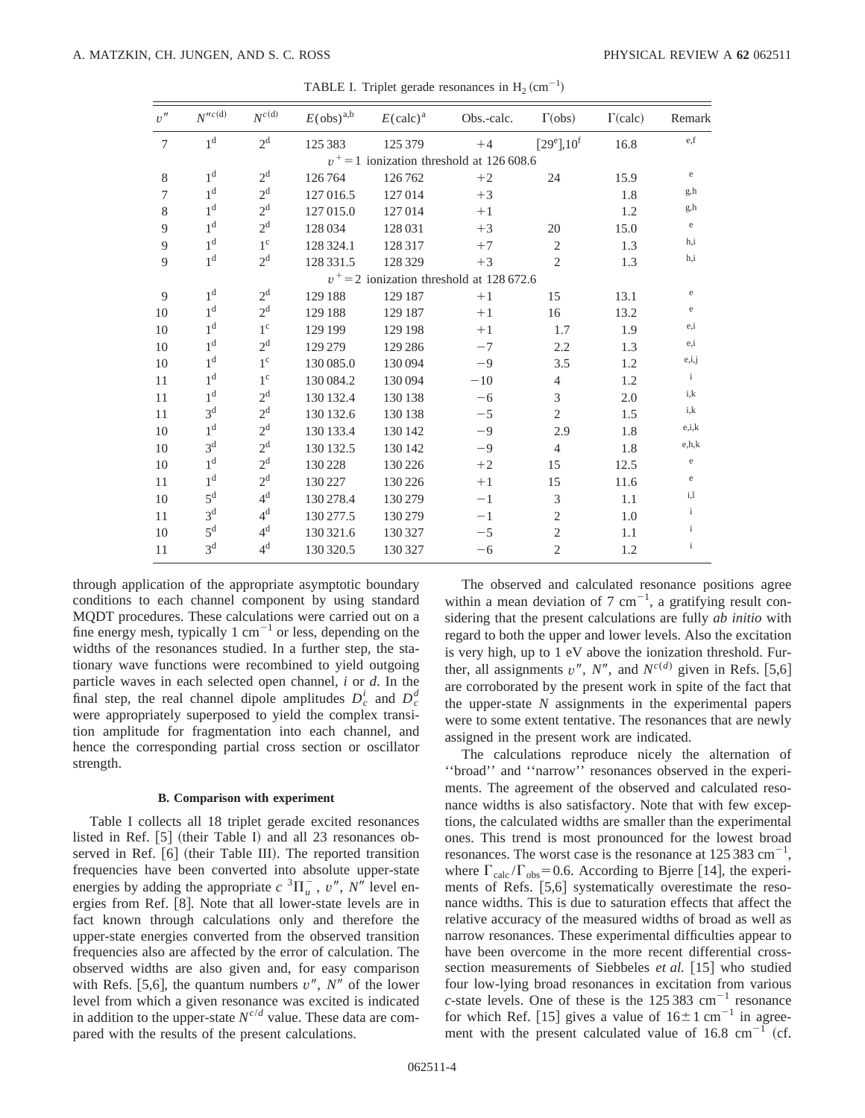| $v^{\prime\prime}$ | $N^{\prime\prime c\,(d)}$ | $N^{c\,(\mathrm{d})}$ | $E(\text{obs})^{a,b}$ | $E(\text{calc})^{\text{a}}$ | Obs.-calc.                                  | $\Gamma$ (obs)    | $\Gamma$ (calc) | Remark       |
|--------------------|---------------------------|-----------------------|-----------------------|-----------------------------|---------------------------------------------|-------------------|-----------------|--------------|
| $7\phantom{.0}$    | 1 <sup>d</sup>            | 2 <sup>d</sup>        | 125 383               | 125 379                     | $+4$                                        | $[29^e]$ , $10^f$ | 16.8            | e,f          |
|                    |                           |                       |                       |                             | $v^+$ = 1 ionization threshold at 126 608.6 |                   |                 |              |
| 8                  | 1 <sup>d</sup>            | 2 <sup>d</sup>        | 126764                | 126762                      | $+2$                                        | 24                | 15.9            | e            |
| $\tau$             | 1 <sup>d</sup>            | 2 <sup>d</sup>        | 127 016.5             | 127014                      | $+3$                                        |                   | 1.8             | g,h          |
| 8                  | 1 <sup>d</sup>            | 2 <sup>d</sup>        | 127 015.0             | 127014                      | $+1$                                        |                   | 1.2             | g,h          |
| 9                  | 1 <sup>d</sup>            | 2 <sup>d</sup>        | 128 034               | 128 031                     | $+3$                                        | 20                | 15.0            | e            |
| 9                  | 1 <sup>d</sup>            | $1^{\circ}$           | 128 324.1             | 128 317                     | $+7$                                        | $\mathfrak{2}$    | 1.3             | h,i          |
| 9                  | 1 <sup>d</sup>            | 2 <sup>d</sup>        | 128 331.5             | 128 329                     | $+3$                                        | $\overline{2}$    | 1.3             | h,i          |
|                    |                           |                       |                       |                             | $v^+=2$ ionization threshold at 128 672.6   |                   |                 |              |
| 9                  | 1 <sup>d</sup>            | 2 <sup>d</sup>        | 129 188               | 129 187                     | $+1$                                        | 15                | 13.1            | e            |
| 10                 | 1 <sup>d</sup>            | 2 <sup>d</sup>        | 129 188               | 129 187                     | $+1$                                        | 16                | 13.2            | e            |
| 10                 | 1 <sup>d</sup>            | $1^{\circ}$           | 129 199               | 129 198                     | $+1$                                        | 1.7               | 1.9             | e,i          |
| 10                 | 1 <sup>d</sup>            | 2 <sup>d</sup>        | 129 279               | 129 286                     | $-7$                                        | 2.2               | 1.3             | e,i          |
| 10                 | 1 <sup>d</sup>            | $1^{\circ}$           | 130 085.0             | 130 094                     | $-9$                                        | 3.5               | 1.2             | e,i,j        |
| 11                 | 1 <sup>d</sup>            | $1^{\circ}$           | 130 084.2             | 130 094                     | $-10$                                       | $\overline{4}$    | 1.2             | $\mathbf{i}$ |
| 11                 | 1 <sup>d</sup>            | 2 <sup>d</sup>        | 130 132.4             | 130 138                     | $-6$                                        | 3                 | 2.0             | i,k          |
| 11                 | 3 <sup>d</sup>            | 2 <sup>d</sup>        | 130 132.6             | 130 138                     | $-5$                                        | $\mathfrak{2}$    | 1.5             | i,k          |
| 10                 | 1 <sup>d</sup>            | $2^{\rm d}$           | 130 133.4             | 130 142                     | $-9$                                        | 2.9               | 1.8             | e, i, k      |
| 10                 | 3 <sup>d</sup>            | 2 <sup>d</sup>        | 130 132.5             | 130 142                     | $-9$                                        | $\overline{4}$    | 1.8             | e, h, k      |
| 10                 | 1 <sup>d</sup>            | 2 <sup>d</sup>        | 130 228               | 130 226                     | $+2$                                        | 15                | 12.5            | e            |
| 11                 | 1 <sup>d</sup>            | 2 <sup>d</sup>        | 130 227               | 130 226                     | $+1$                                        | 15                | 11.6            | e            |
| 10                 | 5 <sup>d</sup>            | 4 <sup>d</sup>        | 130 278.4             | 130 279                     | $-1$                                        | 3                 | 1.1             | i,1          |
| 11                 | 3 <sup>d</sup>            | 4 <sup>d</sup>        | 130 277.5             | 130 279                     | $-1$                                        | $\overline{2}$    | 1.0             | $\mathbf{i}$ |
| 10                 | 5 <sup>d</sup>            | 4 <sup>d</sup>        | 130 321.6             | 130 327                     | $-5$                                        | $\overline{2}$    | 1.1             | $\mathbf{i}$ |
| 11                 | 3 <sup>d</sup>            | 4 <sup>d</sup>        | 130 320.5             | 130 327                     | $-6$                                        | $\mathfrak{2}$    | 1.2             | $\mathbf{i}$ |

TABLE I. Triplet gerade resonances in  $H_2$  (cm<sup>-1</sup>)

through application of the appropriate asymptotic boundary conditions to each channel component by using standard MQDT procedures. These calculations were carried out on a fine energy mesh, typically 1  $cm^{-1}$  or less, depending on the widths of the resonances studied. In a further step, the stationary wave functions were recombined to yield outgoing particle waves in each selected open channel, *i* or *d*. In the final step, the real channel dipole amplitudes  $D_c^i$  and  $D_c^d$ were appropriately superposed to yield the complex transition amplitude for fragmentation into each channel, and hence the corresponding partial cross section or oscillator strength.

## **B. Comparison with experiment**

Table I collects all 18 triplet gerade excited resonances listed in Ref.  $[5]$  (their Table I) and all 23 resonances observed in Ref.  $[6]$  (their Table III). The reported transition frequencies have been converted into absolute upper-state energies by adding the appropriate  $c^{3}\Pi_{u}^{-}$ ,  $v''$ ,  $N''$  level energies from Ref. [8]. Note that all lower-state levels are in fact known through calculations only and therefore the upper-state energies converted from the observed transition frequencies also are affected by the error of calculation. The observed widths are also given and, for easy comparison with Refs. [5,6], the quantum numbers  $v''$ ,  $N''$  of the lower level from which a given resonance was excited is indicated in addition to the upper-state  $N^{c/d}$  value. These data are compared with the results of the present calculations.

The observed and calculated resonance positions agree within a mean deviation of 7  $cm^{-1}$ , a gratifying result considering that the present calculations are fully *ab initio* with regard to both the upper and lower levels. Also the excitation is very high, up to 1 eV above the ionization threshold. Further, all assignments  $v''$ ,  $N''$ , and  $N^{c(d)}$  given in Refs. [5,6] are corroborated by the present work in spite of the fact that the upper-state *N* assignments in the experimental papers were to some extent tentative. The resonances that are newly assigned in the present work are indicated.

The calculations reproduce nicely the alternation of ''broad'' and ''narrow'' resonances observed in the experiments. The agreement of the observed and calculated resonance widths is also satisfactory. Note that with few exceptions, the calculated widths are smaller than the experimental ones. This trend is most pronounced for the lowest broad resonances. The worst case is the resonance at  $125\,383\,\mathrm{cm}^{-1}$ , where  $\Gamma_{\text{calc}}/\Gamma_{\text{obs}}=0.6$ . According to Bjerre [14], the experiments of Refs.  $[5,6]$  systematically overestimate the resonance widths. This is due to saturation effects that affect the relative accuracy of the measured widths of broad as well as narrow resonances. These experimental difficulties appear to have been overcome in the more recent differential crosssection measurements of Siebbeles *et al.* [15] who studied four low-lying broad resonances in excitation from various *c*-state levels. One of these is the  $125383 \text{ cm}^{-1}$  resonance for which Ref. [15] gives a value of  $16\pm1$  cm<sup>-1</sup> in agreement with the present calculated value of  $16.8 \text{ cm}^{-1}$  (cf.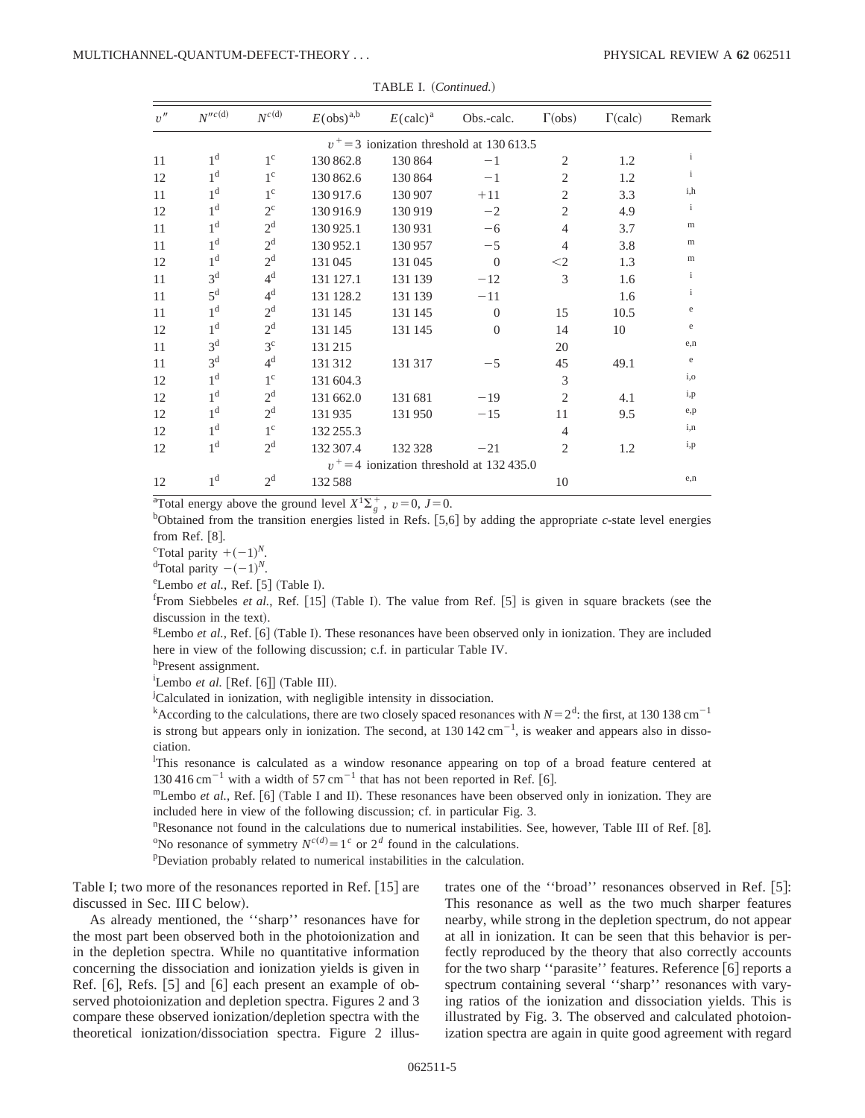| v'' | $N^{\prime\prime c\,(d)}$ | $N^{c(d)}$     | $E(\text{obs})^{\text{a,b}}$ | $E(\text{calc})^{\text{a}}$ | Obs.-calc.                                  | $\Gamma$ (obs)                | $\Gamma$ (calc) | Remark       |
|-----|---------------------------|----------------|------------------------------|-----------------------------|---------------------------------------------|-------------------------------|-----------------|--------------|
|     |                           |                |                              |                             | $v^+=3$ ionization threshold at 130 613.5   |                               |                 |              |
| 11  | 1 <sup>d</sup>            | $1^{\circ}$    | 130 862.8                    | 130 864                     | $-1$                                        | 2                             | 1.2             | $\mathbf{i}$ |
| 12  | 1 <sup>d</sup>            | $1^{\circ}$    | 130 862.6                    | 130 864                     | $-1$                                        | $\overline{2}$                | 1.2             | $\mathbf{i}$ |
| 11  | 1 <sup>d</sup>            | $1^{\circ}$    | 130917.6                     | 130 907                     | $+11$                                       | $\overline{c}$                | 3.3             | i.h          |
| 12  | 1 <sup>d</sup>            | $2^{\circ}$    | 130916.9                     | 130919                      | $-2$                                        | $\overline{2}$                | 4.9             | $\mathbf{i}$ |
| 11  | 1 <sup>d</sup>            | 2 <sup>d</sup> | 130 925.1                    | 130931                      | $-6$                                        | $\overline{4}$                | 3.7             | m            |
| 11  | 1 <sup>d</sup>            | 2 <sup>d</sup> | 130 952.1                    | 130957                      | $-5$                                        | $\overline{4}$                | 3.8             | m            |
| 12  | 1 <sup>d</sup>            | 2 <sup>d</sup> | 131045                       | 131045                      | $\overline{0}$                              | $<$ 2                         | 1.3             | m            |
| 11  | 3 <sup>d</sup>            | $4^d$          | 131 127.1                    | 131 139                     | $-12$                                       | 3                             | 1.6             | $\mathbf{i}$ |
| 11  | 5 <sup>d</sup>            | 4 <sup>d</sup> | 131 128.2                    | 131 139                     | $-11$                                       |                               | 1.6             | $\mathbf{i}$ |
| 11  | 1 <sup>d</sup>            | 2 <sup>d</sup> | 131 145                      | 131 145                     | $\Omega$                                    | 15                            | 10.5            | e            |
| 12  | 1 <sup>d</sup>            | 2 <sup>d</sup> | 131 145                      | 131 145                     | $\overline{0}$                              | 14                            | 10              | e            |
| 11  | 3 <sup>d</sup>            | 3 <sup>c</sup> | 131215                       |                             |                                             | 20                            |                 | e,n          |
| 11  | 3 <sup>d</sup>            | $4^d$          | 131312                       | 131317                      | $-5$                                        | 45                            | 49.1            | e            |
| 12  | 1 <sup>d</sup>            | $1^{\circ}$    | 131 604.3                    |                             |                                             | 3                             |                 | i,o          |
| 12  | 1 <sup>d</sup>            | 2 <sup>d</sup> | 131 662.0                    | 131 681                     | $-19$                                       | $\mathfrak{D}$                | 4.1             | i,p          |
| 12  | 1 <sup>d</sup>            | 2 <sup>d</sup> | 131935                       | 131950                      | $-15$                                       | 11                            | 9.5             | e,p          |
| 12  | 1 <sup>d</sup>            | $1^{\circ}$    | 132 255.3                    |                             |                                             | 4                             |                 | i,n          |
| 12  | 1 <sup>d</sup>            | 2 <sup>d</sup> | 132 307.4                    | 132 328                     | $-21$                                       | $\mathfrak{D}_{\mathfrak{p}}$ | 1.2             | i,p          |
|     |                           |                |                              |                             | $v^+$ = 4 ionization threshold at 132 435.0 |                               |                 |              |
| 12  | 1 <sup>d</sup>            | 2 <sup>d</sup> | 132588                       |                             |                                             | 10                            |                 | e,n          |

TABLE I. (Continued.)

<sup>a</sup>Total energy above the ground level  $X^1\Sigma_g^+$ ,  $v=0$ ,  $J=0$ .

 $b$ Obtained from the transition energies listed in Refs. [5,6] by adding the appropriate *c*-state level energies from Ref.  $[8]$ .

<sup>c</sup>Total parity  $+(-1)^N$ .

 ${}^{d}$ Total parity  $-(-1)^{N}$ .

 $e$ Lembo *et al.*, Ref. [5] (Table I).

<sup>f</sup>From Siebbeles *et al.*, Ref. [15] (Table I). The value from Ref. [5] is given in square brackets (see the discussion in the text).

<sup>g</sup>Lembo *et al.*, Ref. [6] (Table I). These resonances have been observed only in ionization. They are included here in view of the following discussion; c.f. in particular Table IV.

h<sub>Present</sub> assignment.

 ${}^{i}$ Lembo *et al.* [Ref. [6]] (Table III).

<sup>j</sup>Calculated in ionization, with negligible intensity in dissociation.

<sup>k</sup>According to the calculations, there are two closely spaced resonances with  $N=2<sup>d</sup>$ : the first, at 130 138 cm<sup>-1</sup> is strong but appears only in ionization. The second, at  $130\,142\,\text{cm}^{-1}$ , is weaker and appears also in dissociation.

<sup>1</sup>This resonance is calculated as a window resonance appearing on top of a broad feature centered at  $130\,416\,\mathrm{cm}^{-1}$  with a width of 57 cm<sup>-1</sup> that has not been reported in Ref. [6].

 $m$ Lembo *et al.*, Ref. [6] (Table I and II). These resonances have been observed only in ionization. They are included here in view of the following discussion; cf. in particular Fig. 3.

<sup>n</sup>Resonance not found in the calculations due to numerical instabilities. See, however, Table III of Ref. [8]. <sup>o</sup>No resonance of symmetry  $N^{c(d)} = 1^c$  or  $2^d$  found in the calculations.

<sup>p</sup>Deviation probably related to numerical instabilities in the calculation.

Table I; two more of the resonances reported in Ref.  $[15]$  are discussed in Sec. III C below).

As already mentioned, the ''sharp'' resonances have for the most part been observed both in the photoionization and in the depletion spectra. While no quantitative information concerning the dissociation and ionization yields is given in Ref.  $[6]$ , Refs.  $[5]$  and  $[6]$  each present an example of observed photoionization and depletion spectra. Figures 2 and 3 compare these observed ionization/depletion spectra with the theoretical ionization/dissociation spectra. Figure 2 illustrates one of the "broad" resonances observed in Ref. [5]: This resonance as well as the two much sharper features nearby, while strong in the depletion spectrum, do not appear at all in ionization. It can be seen that this behavior is perfectly reproduced by the theory that also correctly accounts for the two sharp "parasite" features. Reference [6] reports a spectrum containing several ''sharp'' resonances with varying ratios of the ionization and dissociation yields. This is illustrated by Fig. 3. The observed and calculated photoionization spectra are again in quite good agreement with regard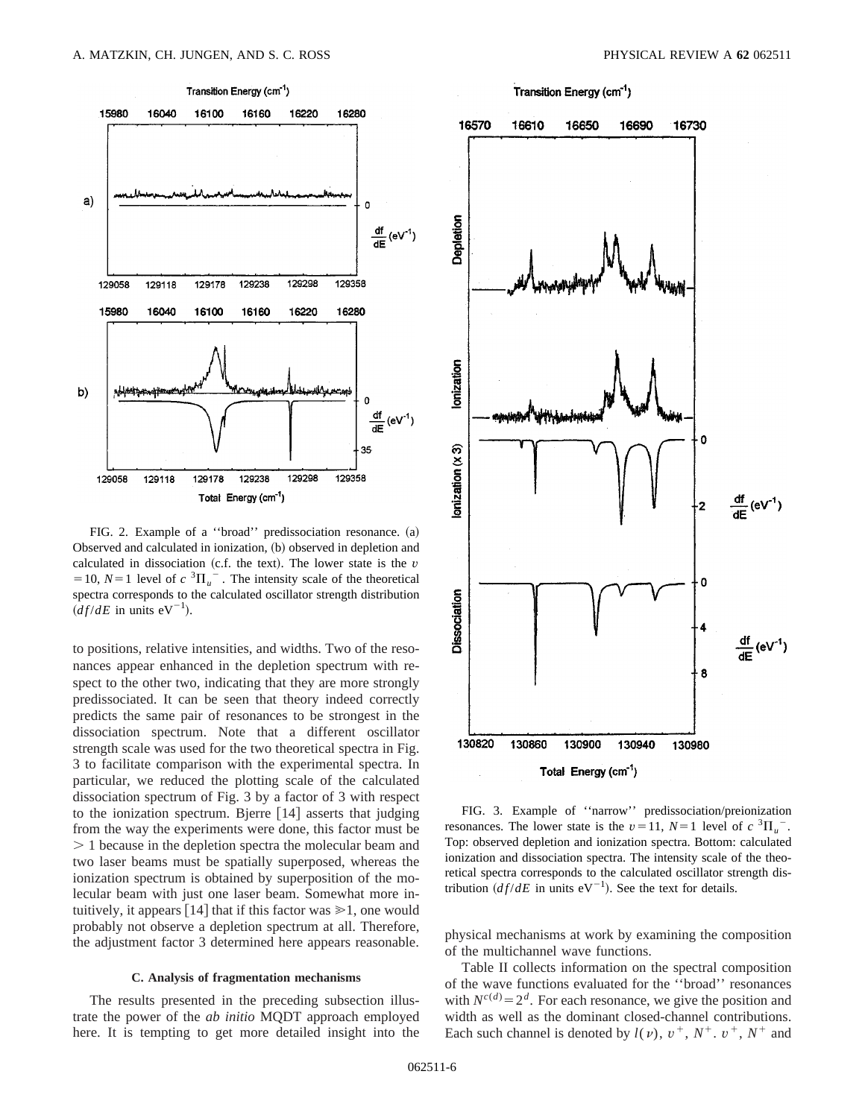

FIG. 2. Example of a "broad" predissociation resonance.  $(a)$ Observed and calculated in ionization, (b) observed in depletion and calculated in dissociation  $(c.f.$  the text). The lower state is the  $v$ = 10,  $N=1$  level of  $c \sqrt[3]{II_u}$ . The intensity scale of the theoretical spectra corresponds to the calculated oscillator strength distribution  $\left( \frac{df}{dE} \text{ in units } eV^{-1} \right)$ .

to positions, relative intensities, and widths. Two of the resonances appear enhanced in the depletion spectrum with respect to the other two, indicating that they are more strongly predissociated. It can be seen that theory indeed correctly predicts the same pair of resonances to be strongest in the dissociation spectrum. Note that a different oscillator strength scale was used for the two theoretical spectra in Fig. 3 to facilitate comparison with the experimental spectra. In particular, we reduced the plotting scale of the calculated dissociation spectrum of Fig. 3 by a factor of 3 with respect to the ionization spectrum. Bjerre  $[14]$  asserts that judging from the way the experiments were done, this factor must be  $> 1$  because in the depletion spectra the molecular beam and two laser beams must be spatially superposed, whereas the ionization spectrum is obtained by superposition of the molecular beam with just one laser beam. Somewhat more intuitively, it appears [14] that if this factor was  $\geq 1$ , one would probably not observe a depletion spectrum at all. Therefore, the adjustment factor 3 determined here appears reasonable.

### **C. Analysis of fragmentation mechanisms**

The results presented in the preceding subsection illustrate the power of the *ab initio* MQDT approach employed here. It is tempting to get more detailed insight into the



FIG. 3. Example of ''narrow'' predissociation/preionization resonances. The lower state is the  $v=11$ ,  $N=1$  level of  $c \, {}^{3} \Pi_{u}^{-}$ . Top: observed depletion and ionization spectra. Bottom: calculated ionization and dissociation spectra. The intensity scale of the theoretical spectra corresponds to the calculated oscillator strength distribution  $\left( df/dE \right)$  in units eV<sup>-1</sup>). See the text for details.

physical mechanisms at work by examining the composition of the multichannel wave functions.

Table II collects information on the spectral composition of the wave functions evaluated for the ''broad'' resonances with  $N^{c(d)} = 2^d$ . For each resonance, we give the position and width as well as the dominant closed-channel contributions. Each such channel is denoted by  $l(v)$ ,  $v^+$ ,  $N^+$ .  $v^+$ ,  $N^+$  and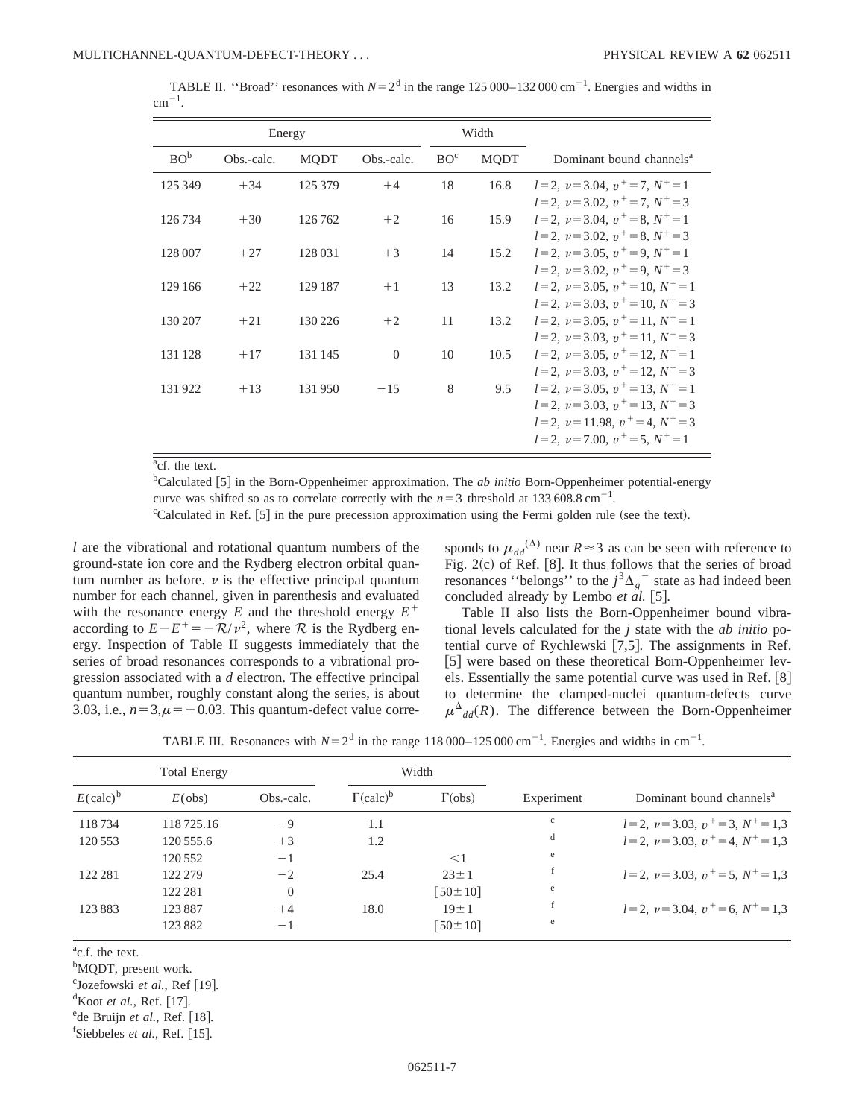| TABLE II. "Broad" resonances with $N=2^d$ in the range 125 000–132 000 cm <sup>-1</sup> . Energies and widths in |  |  |  |  |  |  |
|------------------------------------------------------------------------------------------------------------------|--|--|--|--|--|--|
| $\rm cm^{-1}$                                                                                                    |  |  |  |  |  |  |

|                 | Energy     |             |            |                 | Width       |                                                                                                       |
|-----------------|------------|-------------|------------|-----------------|-------------|-------------------------------------------------------------------------------------------------------|
| BO <sup>b</sup> | Obs.-calc. | <b>MODT</b> | Obs.-calc. | BO <sup>c</sup> | <b>MODT</b> | Dominant bound channels <sup>a</sup>                                                                  |
| 125 349         | $+34$      | 125 379     | $+4$       | 18              | 16.8        | $l=2, \nu=3.04, \nu^+=7, N^+=1$                                                                       |
| 126734          | $+30$      | 126762      | $+2$       | 16              | 15.9        | $l=2, \nu=3.02, \nu^+=7, N^+=3$<br>$l=2, \nu=3.04, \nu^+=8, N^+=1$                                    |
| 128 007         | $+27$      | 128 031     | $+3$       | 14              | 15.2        | $l=2, \nu=3.02, \nu^+=8, N^+=3$<br>$l=2, \nu=3.05, \nu^+=9, N^+=1$<br>$l=2, \nu=3.02, \nu^+=9, N^+=3$ |
| 129 166         | $+22$      | 129 187     | $+1$       | 13              | 13.2        | $l=2, \nu=3.05, \nu^+=10, N^+=1$<br>$l=2$ , $\nu=3.03$ , $\nu^+=10$ , $N^+=3$                         |
| 130 207         | $+21$      | 130 226     | $+2$       | 11              | 13.2        | $l=2, \nu=3.05, \nu^+=11, N^+=1$<br>$l=2, \nu=3.03, \nu^+=11, N^+=3$                                  |
| 131 128         | $+17$      | 131 145     | $\Omega$   | 10              | 10.5        | $l=2, \nu=3.05, \nu^+=12, N^+=1$<br>$l=2, \nu=3.03, \nu^+=12, N^+=3$                                  |
| 131922          | $+13$      | 131950      | $-15$      | 8               | 9.5         | $l=2, \nu=3.05, \nu^+=13, N^+=1$<br>$l=2$ , $\nu=3.03$ , $\nu^+=13$ , $N^+=3$                         |
|                 |            |             |            |                 |             | $l=2, \nu=11.98, \nu^+=4, N^+=3$<br>$l = 2$ , $\nu = 7.00$ , $\nu^+ = 5$ , $N^+ = 1$                  |

<sup>a</sup>cf. the text.

<sup>b</sup>Calculated [5] in the Born-Oppenheimer approximation. The *ab initio* Born-Oppenheimer potential-energy curve was shifted so as to correlate correctly with the  $n=3$  threshold at 133 608.8 cm<sup>-1</sup>.

<sup>c</sup>Calculated in Ref. [5] in the pure precession approximation using the Fermi golden rule (see the text).

*l* are the vibrational and rotational quantum numbers of the ground-state ion core and the Rydberg electron orbital quantum number as before.  $\nu$  is the effective principal quantum number for each channel, given in parenthesis and evaluated with the resonance energy  $E$  and the threshold energy  $E^+$ according to  $E-E^+=-\mathcal{R}/v^2$ , where  $\mathcal R$  is the Rydberg energy. Inspection of Table II suggests immediately that the series of broad resonances corresponds to a vibrational progression associated with a *d* electron. The effective principal quantum number, roughly constant along the series, is about 3.03, i.e.,  $n=3, \mu=-0.03$ . This quantum-defect value corre-

sponds to  $\mu_{dd}^{(\Delta)}$  near  $R \approx 3$  as can be seen with reference to Fig.  $2(c)$  of Ref. [8]. It thus follows that the series of broad resonances "belongs" to the  $j^3\Delta_g$ <sup>-</sup> state as had indeed been concluded already by Lembo  $et$   $\ddot{a}l$ . [5].

Table II also lists the Born-Oppenheimer bound vibrational levels calculated for the *j* state with the *ab initio* potential curve of Rychlewski  $[7,5]$ . The assignments in Ref. [5] were based on these theoretical Born-Oppenheimer levels. Essentially the same potential curve was used in Ref.  $[8]$ to determine the clamped-nuclei quantum-defects curve  $\mu^{\Delta}$ <sub>dd</sub>(*R*). The difference between the Born-Oppenheimer

TABLE III. Resonances with  $N=2^d$  in the range 118 000–125 000 cm<sup>-1</sup>. Energies and widths in cm<sup>-1</sup>.

|                             | <b>Total Energy</b> |            |                                  | Width          |            |                                      |  |
|-----------------------------|---------------------|------------|----------------------------------|----------------|------------|--------------------------------------|--|
| $E(\text{calc})^{\text{b}}$ | $E(\text{obs})$     | Obs.-calc. | $\Gamma(\text{calc})^{\text{b}}$ | $\Gamma$ (obs) | Experiment | Dominant bound channels <sup>a</sup> |  |
| 118734                      | 118725.16           | -9         | 1.1                              |                | c          | $l=2, v=3.03, v^+=3, N^+=1.3$        |  |
| 120 553                     | 120 555.6           | $+3$       | 1.2                              |                | d          | $l=2, \nu=3.03, \nu^+=4, N^+=1.3$    |  |
|                             | 120 552             | $-1$       |                                  | $<$ 1          | e          |                                      |  |
| 122 281                     | 122 279             | $-2$       | 25.4                             | $23 \pm 1$     |            | $l=2, \nu=3.03, \nu^+=5, N^+=1.3$    |  |
|                             | 122 281             | $\theta$   |                                  | $[50 \pm 10]$  | e          |                                      |  |
| 123883                      | 123887              | $+4$       | 18.0                             | $19 \pm 1$     |            | $l=2, \nu=3.04, \nu^+=6, N^+=1.3$    |  |
|                             | 123 882             | $-1$       |                                  | $50 \pm 10$    | e          |                                      |  |

<sup>a</sup>c.f. the text.

<sup>b</sup>MQDT, present work.

<sup>c</sup>Jozefowski et al., Ref [19].

<sup>d</sup>Koot *et al.*, Ref. [17].

<sup>e</sup>de Bruijn et al., Ref. [18].

 ${}^{\text{f}}$ Siebbeles *et al.*, Ref. [15].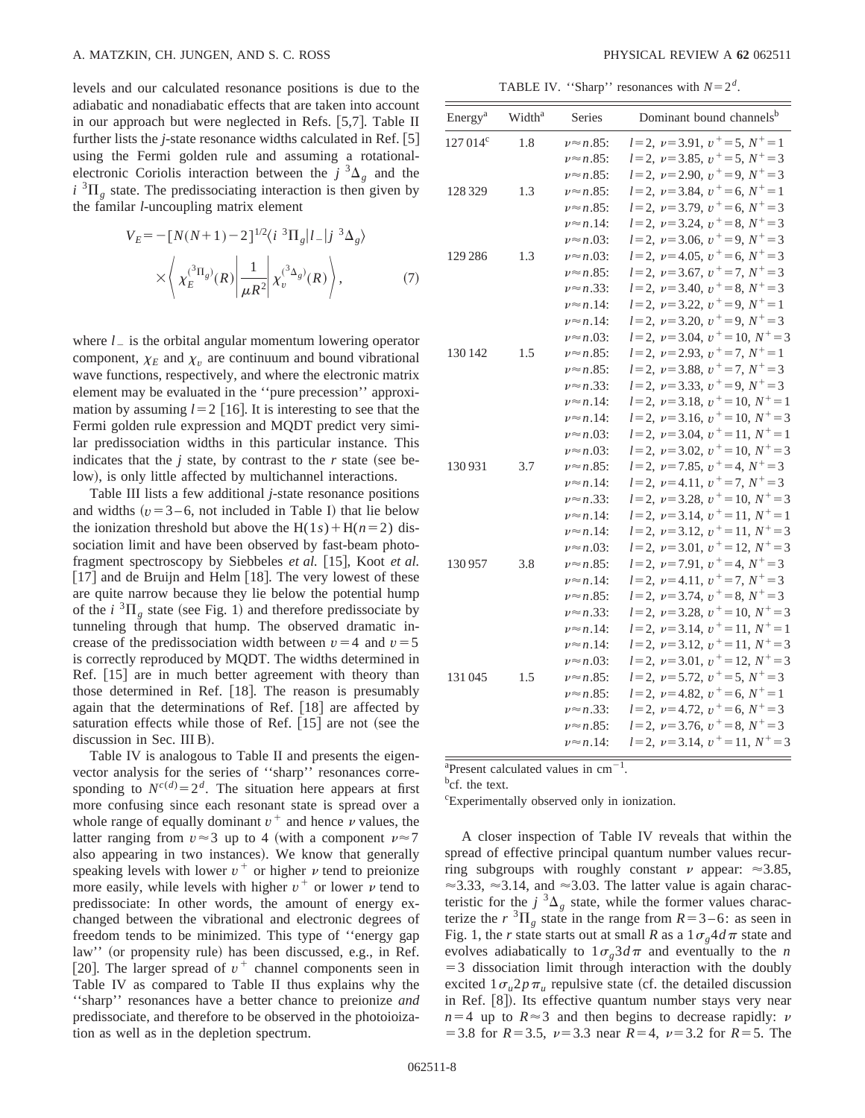levels and our calculated resonance positions is due to the adiabatic and nonadiabatic effects that are taken into account in our approach but were neglected in Refs.  $[5,7]$ . Table II further lists the  $j$ -state resonance widths calculated in Ref.  $[5]$ using the Fermi golden rule and assuming a rotationalelectronic Coriolis interaction between the  $j^{3}\Delta_{g}$  and the  $i$ <sup>3</sup> $\Pi$ <sub>g</sub> state. The predissociating interaction is then given by the familar *l*-uncoupling matrix element

$$
V_E = -[N(N+1) - 2]^{1/2} \langle i \ {}^3\Pi_g | l_- | j \ {}^3\Delta_g \rangle
$$

$$
\times \langle \chi_E^{(^3\Pi_g)}(R) | \frac{1}{\mu R^2} | \chi_v^{(^3\Delta_g)}(R) \rangle, \tag{7}
$$

where  $l_{-}$  is the orbital angular momentum lowering operator component,  $\chi_E$  and  $\chi_v$  are continuum and bound vibrational wave functions, respectively, and where the electronic matrix element may be evaluated in the ''pure precession'' approximation by assuming  $l=2$  [16]. It is interesting to see that the Fermi golden rule expression and MQDT predict very similar predissociation widths in this particular instance. This indicates that the  $j$  state, by contrast to the  $r$  state (see below), is only little affected by multichannel interactions.

Table III lists a few additional *j*-state resonance positions and widths  $(v=3-6$ , not included in Table I) that lie below the ionization threshold but above the  $H(1s) + H(n=2)$  dissociation limit and have been observed by fast-beam photofragment spectroscopy by Siebbeles *et al.* [15], Koot *et al.*  $\lceil 17 \rceil$  and de Bruijn and Helm  $\lceil 18 \rceil$ . The very lowest of these are quite narrow because they lie below the potential hump of the  $i \text{ }^{3} \Pi_{\sigma}$  state (see Fig. 1) and therefore predissociate by tunneling through that hump. The observed dramatic increase of the predissociation width between  $v=4$  and  $v=5$ is correctly reproduced by MQDT. The widths determined in Ref. [15] are in much better agreement with theory than those determined in Ref. [18]. The reason is presumably again that the determinations of Ref.  $[18]$  are affected by saturation effects while those of Ref.  $[15]$  are not (see the discussion in Sec. III B).

Table IV is analogous to Table II and presents the eigenvector analysis for the series of ''sharp'' resonances corresponding to  $N^{c(d)} = 2^d$ . The situation here appears at first more confusing since each resonant state is spread over a whole range of equally dominant  $v^+$  and hence  $\nu$  values, the latter ranging from  $v \approx 3$  up to 4 (with a component  $v \approx 7$ ) also appearing in two instances). We know that generally speaking levels with lower  $v^+$  or higher  $\nu$  tend to preionize more easily, while levels with higher  $v^+$  or lower  $\nu$  tend to predissociate: In other words, the amount of energy exchanged between the vibrational and electronic degrees of freedom tends to be minimized. This type of ''energy gap law" (or propensity rule) has been discussed, e.g., in Ref. [20]. The larger spread of  $v^+$  channel components seen in Table IV as compared to Table II thus explains why the ''sharp'' resonances have a better chance to preionize *and* predissociate, and therefore to be observed in the photoioization as well as in the depletion spectrum.

TABLE IV. "Sharp" resonances with  $N=2<sup>d</sup>$ .

| Energy <sup>a</sup> | Width <sup>a</sup> | <b>Series</b>        | Dominant bound channels <sup>b</sup> |
|---------------------|--------------------|----------------------|--------------------------------------|
| $127014^{\circ}$    | 1.8                | $\nu \approx n.85$ : | $l=2, \nu=3.91, \nu^+=5, N^+=1$      |
|                     |                    | $\nu \approx n.85$ : | $l=2, \nu=3.85, \nu^+=5, N^+=3$      |
|                     |                    | $\nu \approx n.85$ : | $l=2, \nu=2.90, \nu^+=9, N^+=3$      |
| 128 329             | 1.3                | $\nu \approx n.85$ : | $l=2, \nu=3.84, \nu^+=6, N^+=1$      |
|                     |                    | $\nu \approx n.85$ : | $l=2, \nu=3.79, \nu^+=6, N^+=3$      |
|                     |                    | $\nu \approx n.14$ : | $l=2, \nu=3.24, \nu^+=8, N^+=3$      |
|                     |                    | $\nu \approx n.03$ : | $l=2, \nu=3.06, \nu^+=9, N^+=3$      |
| 129 286             | 1.3                | $\nu \approx n.03$ : | $l=2, \nu=4.05, \nu^+=6, N^+=3$      |
|                     |                    | $\nu \approx n.85$ : | $l=2, \nu=3.67, \nu^+=7, N^+=3$      |
|                     |                    | $\nu \approx n.33$ : | $l=2, \nu=3.40, \nu^+=8, N^+=3$      |
|                     |                    | $\nu \approx n.14$ : | $l=2, \nu=3.22, \nu^+=9, N^+=1$      |
|                     |                    | $\nu \approx n.14$ : | $l=2, \nu=3.20, \nu^+=9, N^+=3$      |
|                     |                    | $\nu \approx n.03$ : | $l=2, \nu=3.04, \nu^+=10, N^+=3$     |
| 130 142             | 1.5                | $\nu \approx n.85$ : | $l=2, \nu=2.93, \nu^+=7, N^+=1$      |
|                     |                    | $\nu \approx n.85$ : | $l=2, \nu=3.88, \nu^+=7, N^+=3$      |
|                     |                    | $\nu \approx n.33$ : | $l=2, \nu=3.33, \nu^+=9, N^+=3$      |
|                     |                    | $\nu \approx n.14$ : | $l=2, \nu=3.18, \nu^+=10, N^+=1$     |
|                     |                    | $\nu \approx n.14$ : | $l=2, \nu=3.16, \nu^+=10, N^+=3$     |
|                     |                    | $\nu \approx n.03$ : | $l=2, \nu=3.04, \nu^+=11, N^+=1$     |
|                     |                    | $\nu \approx n.03$ : | $l=2, \nu=3.02, \nu^+=10, N^+=3$     |
| 130931              | 3.7                | $\nu \approx n.85$ : | $l=2, \nu=7.85, \nu^+=4, N^+=3$      |
|                     |                    | $\nu \approx n.14$ : | $l=2, \nu=4.11, \nu^+=7, N^+=3$      |
|                     |                    | $\nu \approx n.33$ : | $l=2, \nu=3.28, \nu^+=10, N^+=3$     |
|                     |                    | $\nu \approx n.14$ : | $l=2, \nu=3.14, \nu^+=11, N^+=1$     |
|                     |                    | $\nu \approx n.14$ : | $l=2, \nu=3.12, \nu^+=11, N^+=3$     |
|                     |                    | $\nu \approx n.03$ : | $l=2, \nu=3.01, \nu^+=12, N^+=3$     |
| 130957              | 3.8                | $\nu \approx n.85$ : | $l=2, \nu=7.91, \nu^+=4, N^+=3$      |
|                     |                    | $\nu \approx n.14$ : | $l=2, \nu=4.11, \nu^+=7, N^+=3$      |
|                     |                    | $\nu \approx n.85$ : | $l=2, \nu=3.74, \nu^+=8, N^+=3$      |
|                     |                    | $\nu \approx n.33$ : | $l=2, \nu=3.28, \nu^+=10, N^+=3$     |
|                     |                    | $\nu \approx n.14$ : | $l=2, \nu=3.14, \nu^+=11, N^+=1$     |
|                     |                    | $\nu \approx n.14$ : | $l=2, \nu=3.12, \nu^+=11, N^+=3$     |
|                     |                    | $\nu \approx n.03$ : | $l=2, \nu=3.01, \nu^+=12, N^+=3$     |
| 131045              | 1.5                | $\nu \approx n.85$ : | $l=2, \nu=5.72, \nu^+=5, N^+=3$      |
|                     |                    | $\nu \approx n.85$ : | $l=2, \nu=4.82, \nu^+=6, N^+=1$      |
|                     |                    | $\nu \approx n.33$ : | $l=2, \nu=4.72, \nu^+=6, N^+=3$      |
|                     |                    | $\nu \approx n.85$ : | $l=2, \nu=3.76, \nu^+=8, N^+=3$      |
|                     |                    | $\nu \approx n.14$ : | $l=2, \nu=3.14, \nu^+=11, N^+=3$     |

 $a$ Present calculated values in cm<sup>-1</sup>.

<sup>b</sup>cf. the text.

c Experimentally observed only in ionization.

A closer inspection of Table IV reveals that within the spread of effective principal quantum number values recurring subgroups with roughly constant  $\nu$  appear:  $\approx 3.85$ ,  $\approx$ 3.33,  $\approx$ 3.14, and  $\approx$ 3.03. The latter value is again characteristic for the  $j^3\Delta_g$  state, while the former values characterize the  $r \,^3\Pi_\varrho$  state in the range from  $R=3-6$ : as seen in Fig. 1, the *r* state starts out at small *R* as a  $1\sigma_{\varphi}4d\pi$  state and evolves adiabatically to  $1\sigma_g 3d\pi$  and eventually to the *n*  $=$  3 dissociation limit through interaction with the doubly excited  $1\sigma_u 2p\pi_u$  repulsive state (cf. the detailed discussion in Ref. [8]). Its effective quantum number stays very near  $n=4$  up to  $R \approx 3$  and then begins to decrease rapidly:  $\nu$  $=$  3.8 for *R* = 3.5,  $\nu$  = 3.3 near *R* = 4,  $\nu$  = 3.2 for *R* = 5. The